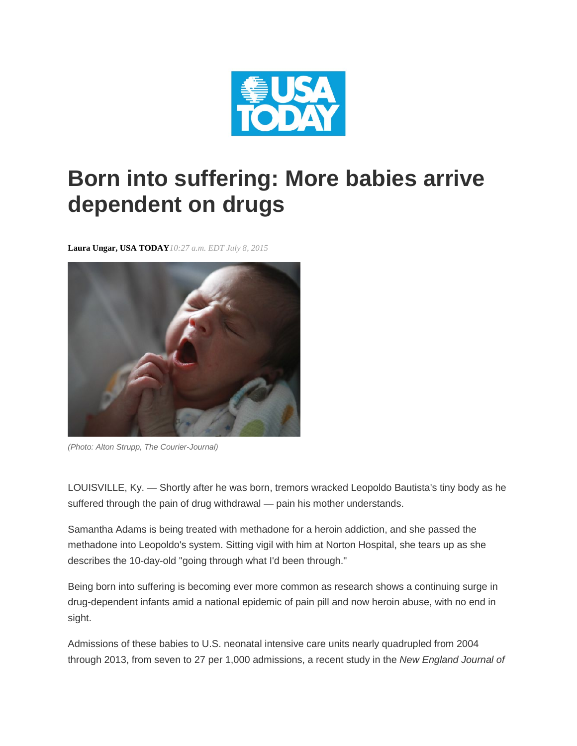

## **Born into suffering: More babies arrive dependent on drugs**

**Laura Ungar, USA TODAY***10:27 a.m. EDT July 8, 2015*



*(Photo: Alton Strupp, The Courier-Journal)*

LOUISVILLE, Ky. — Shortly after he was born, tremors wracked Leopoldo Bautista's tiny body as he suffered through the pain of drug withdrawal — pain his mother understands.

Samantha Adams is being treated with methadone for a heroin addiction, and she passed the methadone into Leopoldo's system. Sitting vigil with him at Norton Hospital, she tears up as she describes the 10-day-old "going through what I'd been through."

Being born into suffering is becoming ever more common as research shows a continuing surge in drug-dependent infants amid a national epidemic of pain pill and now heroin abuse, with no end in sight.

Admissions of these babies to U.S. neonatal intensive care units nearly quadrupled from 2004 through 2013, from seven to 27 per 1,000 admissions, a recent study in the *New England Journal of*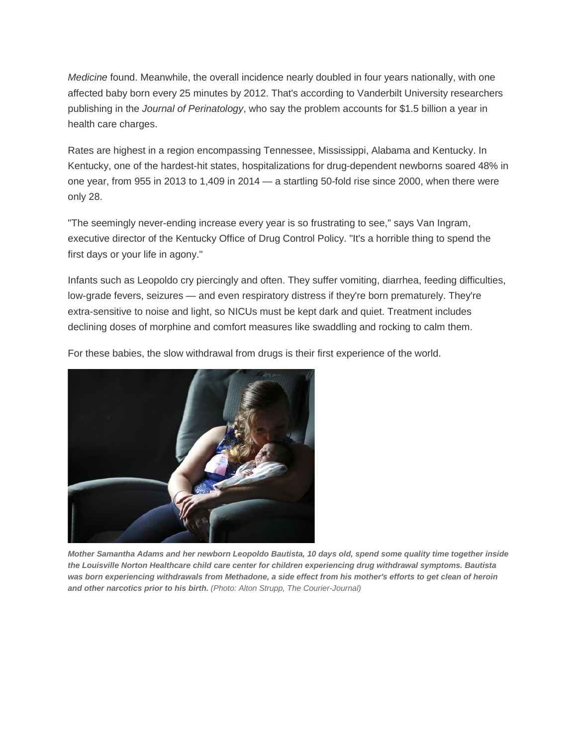*Medicine* found. Meanwhile, the overall incidence nearly doubled in four years nationally, with one affected baby born every 25 minutes by 2012. That's according to Vanderbilt University researchers publishing in the *Journal of Perinatology*, who say the problem accounts for \$1.5 billion a year in health care charges.

Rates are highest in a region encompassing Tennessee, Mississippi, Alabama and Kentucky. In Kentucky, one of the hardest-hit states, hospitalizations for drug-dependent newborns soared 48% in one year, from 955 in 2013 to 1,409 in 2014 — a startling 50-fold rise since 2000, when there were only 28.

"The seemingly never-ending increase every year is so frustrating to see," says Van Ingram, executive director of the Kentucky Office of Drug Control Policy. "It's a horrible thing to spend the first days or your life in agony."

Infants such as Leopoldo cry piercingly and often. They suffer vomiting, diarrhea, feeding difficulties, low-grade fevers, seizures — and even respiratory distress if they're born prematurely. They're extra-sensitive to noise and light, so NICUs must be kept dark and quiet. Treatment includes declining doses of morphine and comfort measures like swaddling and rocking to calm them.

For these babies, the slow withdrawal from drugs is their first experience of the world.



*Mother Samantha Adams and her newborn Leopoldo Bautista, 10 days old, spend some quality time together inside the Louisville Norton Healthcare child care center for children experiencing drug withdrawal symptoms. Bautista*  was born experiencing withdrawals from Methadone, a side effect from his mother's efforts to get clean of heroin *and other narcotics prior to his birth. (Photo: Alton Strupp, The Courier-Journal)*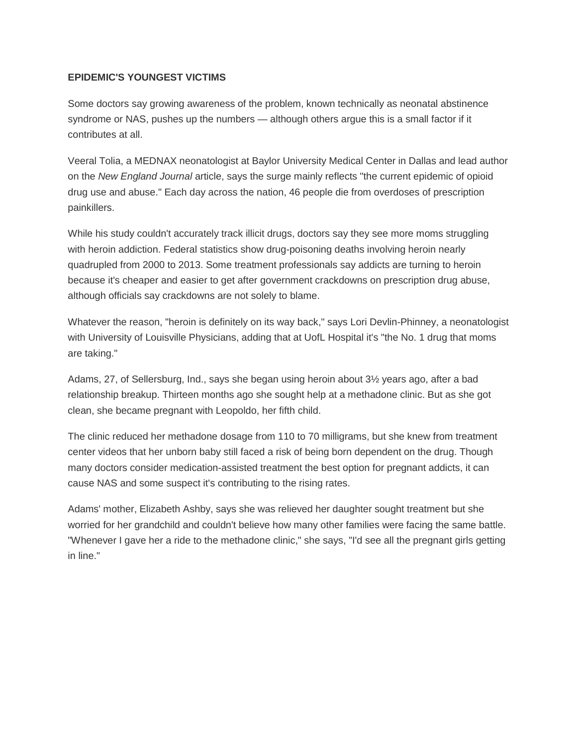## **EPIDEMIC'S YOUNGEST VICTIMS**

Some doctors say growing awareness of the problem, known technically as neonatal abstinence syndrome or NAS, pushes up the numbers — although others argue this is a small factor if it contributes at all.

Veeral Tolia, a MEDNAX neonatologist at Baylor University Medical Center in Dallas and lead author on the *New England Journal* article, says the surge mainly reflects "the current epidemic of opioid drug use and abuse." Each day across the nation, 46 people die from overdoses of prescription painkillers.

While his study couldn't accurately track illicit drugs, doctors say they see more moms struggling with heroin addiction. Federal statistics show drug-poisoning deaths involving heroin nearly quadrupled from 2000 to 2013. Some treatment professionals say addicts are turning to heroin because it's cheaper and easier to get after government crackdowns on prescription drug abuse, although officials say crackdowns are not solely to blame.

Whatever the reason, "heroin is definitely on its way back," says Lori Devlin-Phinney, a neonatologist with University of Louisville Physicians, adding that at UofL Hospital it's "the No. 1 drug that moms are taking."

Adams, 27, of Sellersburg, Ind., says she began using heroin about 3½ years ago, after a bad relationship breakup. Thirteen months ago she sought help at a methadone clinic. But as she got clean, she became pregnant with Leopoldo, her fifth child.

The clinic reduced her methadone dosage from 110 to 70 milligrams, but she knew from treatment center videos that her unborn baby still faced a risk of being born dependent on the drug. Though many doctors consider medication-assisted treatment the best option for pregnant addicts, it can cause NAS and some suspect it's contributing to the rising rates.

Adams' mother, Elizabeth Ashby, says she was relieved her daughter sought treatment but she worried for her grandchild and couldn't believe how many other families were facing the same battle. "Whenever I gave her a ride to the methadone clinic," she says, "I'd see all the pregnant girls getting in line."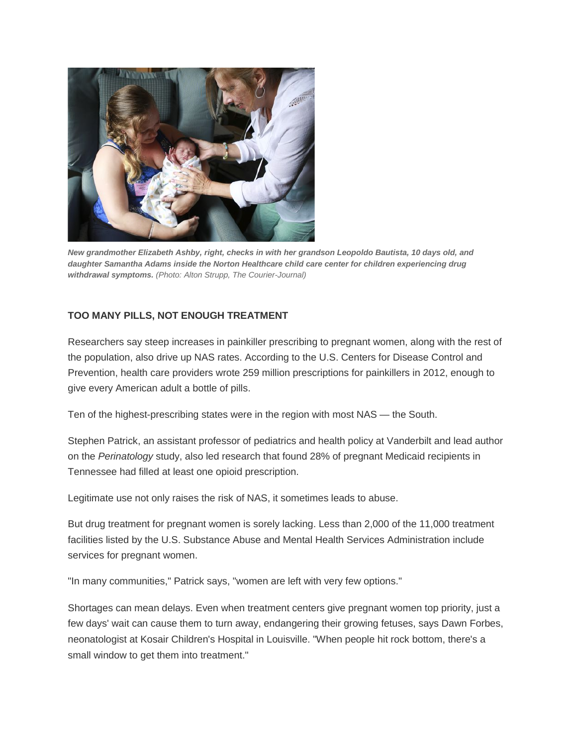

*New grandmother Elizabeth Ashby, right, checks in with her grandson Leopoldo Bautista, 10 days old, and daughter Samantha Adams inside the Norton Healthcare child care center for children experiencing drug withdrawal symptoms. (Photo: Alton Strupp, The Courier-Journal)*

## **TOO MANY PILLS, NOT ENOUGH TREATMENT**

Researchers say steep increases in painkiller prescribing to pregnant women, along with the rest of the population, also drive up NAS rates. According to the U.S. Centers for Disease Control and Prevention, health care providers wrote 259 million prescriptions for painkillers in 2012, enough to give every American adult a bottle of pills.

Ten of the highest-prescribing states were in the region with most NAS — the South.

Stephen Patrick, an assistant professor of pediatrics and health policy at Vanderbilt and lead author on the *Perinatology* study, also led research that found 28% of pregnant Medicaid recipients in Tennessee had filled at least one opioid prescription.

Legitimate use not only raises the risk of NAS, it sometimes leads to abuse.

But drug treatment for pregnant women is sorely lacking. Less than 2,000 of the 11,000 treatment facilities listed by the U.S. Substance Abuse and Mental Health Services Administration include services for pregnant women.

"In many communities," Patrick says, "women are left with very few options."

Shortages can mean delays. Even when treatment centers give pregnant women top priority, just a few days' wait can cause them to turn away, endangering their growing fetuses, says Dawn Forbes, neonatologist at Kosair Children's Hospital in Louisville. "When people hit rock bottom, there's a small window to get them into treatment."